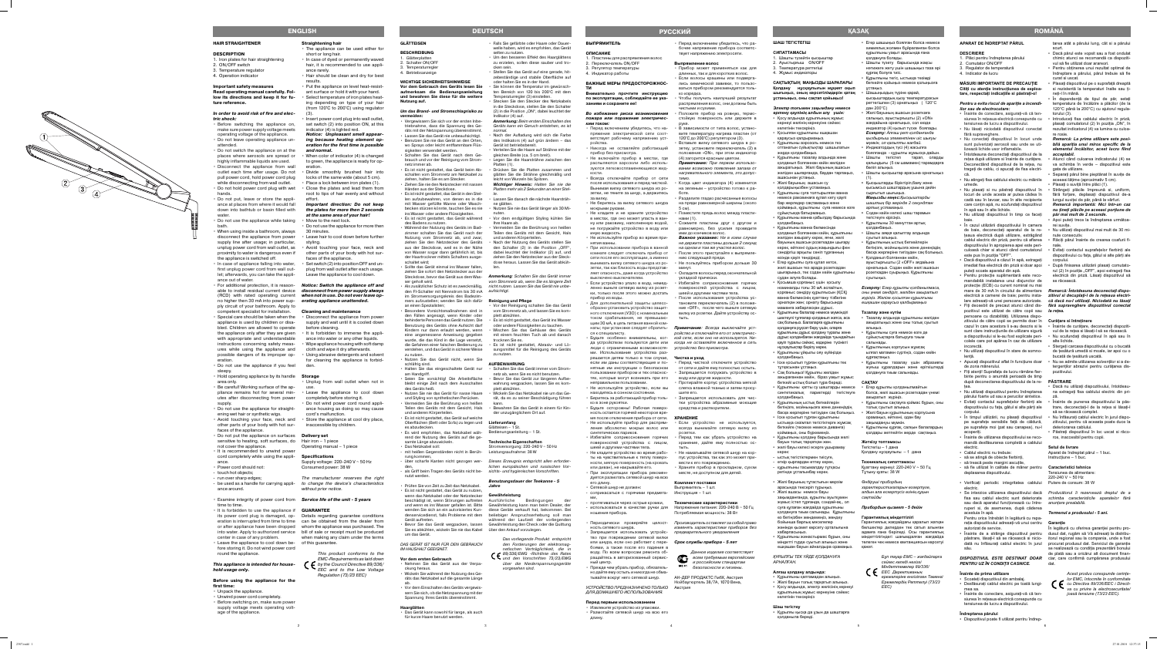

2307.indd 1

# **APARAT DE ÎNDREPTAT PĂRUL**

## **DESCRIERE**

- 1. Plăci pentru îndreptarea părului
- 2. Comutator ON/OFF 3. Regulator de temperatură
- 4. Indicator de lucru
- 

**MĂSURI IMPORTANTE DE PRECAUŢIE** Cititi cu atentie instructiunea de exploa**tare, respectaţi indicaţiile si păstraţi-o!**

#### *Pentru a evita riscul de apariţie a incendiilor sau de electrocutare:*

- Înainte de conectare, asigurati-vă că tensiunea în rețeaua electrică corespunde cu tensiunea de lucru a dispozitivului.
- Nu lăsati niciodată dispozitivul conectat fără supraveghere.
- Nu conectati dispozitivul în locuri unde sunt pulverizati aerosoli sau unde se utilizează lichide usor inflamabile.
- Întotdeauna deconectaţi dispozitivul de la retea după utilizare si înainte de curătare. Deconectând dispozitivul de la retea, nu trageti de cablu, ci apucati de fisa electrică.
- Nu atingeți fisa cablului electric cu mâinile umede.
- Nu plasaţi si nu păstraţi dispozitivul în Strângeţi plăcile împreună si, uniform, locuri de unde acesta ar putea cădea în cadă sau în lavoar, sau în alte recipiente care conțin apă, nu scufundați dispozitivul în apă sau în alte lichide.
- Nu utilizați dispozitivul în timp ce faceti baie.
- În cazul utilizării dispozitivului în camera ţeaua electrică după utilizare, extrăgând dispozitivului în apropierea apei este periculoasă chiar si atunci când comutatorul • Evitați contactul suprafețelor fierbinți ale este pus în pozitia "OFF".
- Dacă dispozitivul a căzut în apă, extrageţi puteti scoate aparatul din apă.
- Pentru protectie suplimentară este recomandabilă instalarea unui disjunctor de protecție (ECB) cu curent nominal nu mai
- Fiţi deosebit de precaut atunci când dis-*fără supraveghere dispozitivul conectat*  pozitivul este utilizat de către copii sau *la reţea.*  persoane cu dizabilități. Utilizarea dispozitivului de către copii se permite doar în **Curăţare si întreţinere** sunt clare instrucţiunile de utilizare sigură a dispozitivului si le-au fost explicate pericolele care pot apărea în caz de utilizare incorectă.
- Nu utilizati dispozitivul în stare de somnolentă.
- Apucați dispozitivul aflat în funcțiune doar de zona mânerului.
- Fiți atenți! Suprafața de lucru rămâne fierbinte pentru o anumită perioadă de timp după deconectarea dispozitivului de la re-**PĂSTRARE** ţea.
- Nu utilizaţi dispozitivul pentru îndreptarea
- părului foarte ud sau a perucilor sintetice. Evitati contactul suprafetelor fierbinti ale dispozitivului cu faţa, gâtul si alte părţi ale corpului.
- În timpul utilizării, nu plasaţi dispozitivul pe suprafeţe sensibile faţă de căldură, pe suprafeţe moi (pat sau canapea), nu-l acoperiti.
- Înainte de utilizarea dispozitivului se recomandă desfăsurarea completă a cablului electric.
- Cablul electric nu trebuie
- să se atingă de obiecte fierbinti să treacă peste margini ascuțite,
- să fie utilizat în calitate de mâner pentru **Caracteristici tehnice** deplasarea dispozitivului.
- Verificați periodic integritatea cablului Putere de consum: 38 W electric.
- Se interzice utilizarea dispozitivului dacă *Producătorul îi rezervează dreptul de a*  sau dacă aparatul funcţionează cu între-*anunţare prealabilă.*  ruperi si, de asemenea, după căderea acestuia în apă. Pentru orice întrebări în legătură cu repa-

# **DISPOZITIVUL ESTE DESTINAT DOAR** ciar, care confirmă cumpărarea produsului *PENTRU UZ ÎN CONDIŢII CASNICE.*

• Dacă părul este vopsit sau a fost ondulat chimic atunci se recomandă ca dispozitivul să fie utilizat doar arareori.

- Pentru obtinerea unui rezultat optimal de îndreptare a părului, părul trebuie să fie curat si uscat.
- Plasaţi dispozitivul pe o suprafaţă dreaptă si rezistentă la temperaturi înalte sau tineți-l în mână.
- În dependentă de tipul de păr, setat temperatura de încălzire a plăcilor (de la 120°C până la 200°C) cu ajutorul regulatorului (3).
- Introduceți fisa cablului electric în priză plasati comutatorul (2) în pozitia "ON", în rezultat indicatorul (4) va lumina cu culoare rosie.

Aparat de îndreptat părul – 1 buc.  $Instructor – 1$  buc.

raţia dispozitivului adresaţi-vă unui centru **Garanţie** autorizat de service.

său.

**Înainte de prima utilizare**

# mare de 30 mA în circuitul de alimentare *Remarcă: Întotdeauna deconectaţi dispo*electrică a camerei de baie; pentru insta-*zitivul si decuplaţi-l de la reţeaua electri*lare adresaţi-vă unei persoane autorizate. *că dacă nu-l utilizaţi. Niciodată nu lăsaţi*

- Scoateţi dispozitivul din ambalaj. • Desfăsuraţi cablul electric pe toată lungimea sa.
- Înainte de conectare, asiguraţi-vă că tensiunea în reteaua electrică corespunde cu tensiunea de lucru a dispozitivului.

# **Îndreptarea părului**

• Dispozitivul poate fi utilizat pentru îndrep-

tarea atât a părului lung, cât si a părului scurt.

- cazul în care acestora li s-au descris si le Înainte de curăţare, deconectaţi dispozitivul de la reţea si lăsaţi-l să se răcească. • Nu scufundaţi dispozitivul în apă sau în
	- alte lichide. • Stergeţi carcasa dispozitivului cu o bucată de tesătură umedă si moale, iar apoi cu o
	- bucată de tesătură uscată. • Nu se admite utilizarea solvenţilor si a de-
	- tergentilor abrazivi pentru curătarea dispozitivului.

 *Remarcă: La prima utilizare este posibilă apariția unui miros specific de la elementul încălzitor, acest lucru fi ind acceptabil.* 

- Atunci când culoarea indicatorului (4) se va schimba în verde – dispozitivul este gata de utilizare. Separați părul bine pieptănat în suvițe de
- aceeasi lătime (aproximativ 5 cm). • Plasaţi o suviţă între plăci (1).
- fără fortare. deplasati dispozitivul de-a lungul suvitei de păr, până la vârfuri.  *Remarcă importantă: Nici într-un caz nu ţineţi plăcile pe aceeasi porţiune de păr mai mult de 2 secunde.*
- Apoi puteţi trece la îndreptarea următoarei suviţe.
- de baie, deconectaţi aparatul de la re-• Nu utilizaţi dispozitivul mai mult de 30 minute consecutiv.
- cablul electric din priză, pentru că aflarea · Răciți părul înainte de crearea coafurii finale.
	- dispozitivului cu fata, gâtul si alte părti ale corpului.
- imediat fisa electrică din priză si doar apoi După finisarea utilizării plasați comutatorul (2) în pozitia "OFF", apoi extrageti fisa electrică din priză. Lăsati dispozitivul să se răcească.

• Înainte de a strânge dispozitivul pentru dusul dat, rugăm să Vă adresaţi la distribupăstrare, lăsaţi-l să se răcească si nicio-itorul regional sau la compania, unde a fost dată nu înfăsuraţi cablul electric în jurul procurat produsul dat. Serviciul de garanţie În legătură cu oferirea garanției pentru prose realizează cu condiția prezentării bonului de plată sau a oricărui alt document finandat.



- Dacă nu utilizaţi dispozitivului, întotdeauna extrageti fisa cablului electric din priză.
- Înainte de punerea dispozitivului la păstrare, deconectaţi-l de la reţea si lăsaţi-l să se răcească complet.
- Nu înfăsurati cablul electric în jurul dispozitivului, pentru că aceasta poate duce la deteriorarea cablului.
- Păstrați dispozitivul în loc uscat si răcoros, inaccesibil pentru copii.

### **Setul de livrare**

Tensiunea de alimentare: 220-240 V ~ 50 Hz

fisa sau cablul electric sunt deteriorate *schimba caracteristicile aparatelor fără* 

# *Termenul a produsului - 5 ani.*

Во избежание риска возникновени *пожара или поражения электричес-*

> *Acest produs corespunde cerinţelor EMC, întocmite în conformitate cu Directiva 89/336/EEC i Directiva cu privire la electrosecuritate/ joasă tensiune (73/23 EEC).*

# **ШАШ ТЕГІСТЕГІШ**

## **СИПАТТАМАСЫ**

- 1. Шашты түзейтін қысқыштар . Ауыстырғыш ON/OFF
- 3. Температура реттегіші
- 4. Жұмыс индикаторы

## **САҚТЫҚТЫҢ МАҢЫЗДЫ ШАРАЛАРЫ Қолдану нұсқаулығын мұқият оқып шығыңыз, оның көрсетілімдерін қатаң ұстаныңыз, оны сақтап қойыңыз!**

- *Электр тоғымен зақымдану немесе өртену қаупінің алдын алу үшін:*
- Қосу алдында құрылғының жұмыс
- кернеуі желінің кернеуіне сəйкес келетінін тексеріңіз. • Қосылған құрылғыны ешқашан
- қараусыз қалдырмаңыз.
- Құрылғыны аэрозоль немесе тез оттанатын сүйықтықтар шашылатын жерде қолданбаңыз.
- Құрылғыны тазалау алдында жəне қолданып болғаннан кейін желіден ажыратыңыз. Желі бауының ашасын желіден шығарғанда, баудан тарпаңыз, ашасынан ұстаңыз. • Желі бауының ашасын су
- қолдарыңызбен ұстамаңыз. • Құрылғыны суға толтырылған ванна немесе раковинаға құлап кету қаупі
- бар жерледер сақтамаңыз жəне қоймаңыз, құрылғыны суға немесе өзге сұйықтыққа батырмаңыз. • Құрылғыны ванна қабылдау барысында
- қолданбаңыз. • Құрылғыны ванна бөлмесінде
- қолданып болғаннан кейін, құрылғыны желіден ажырату керек, яғни, желі бауының ашасын розеткадан шығару керек, өйткені судың жақындығы фен сөндіргіш арқылы сөніп тұрғанның өзінде қауіп төндіреді; . • Егер құрылғы суға құлап кетсе,
- желі ашасын тез арада розеткадан шығарыңыз, тек содан кейін құрылғыны судан алуға болады.
- Қосымша қорғаныс үшін қосылу номиналды тоғы 30 мА аспайтын, қорғаныс сөндіру құрылғысын (ҚСҚ) ванна бөлмесінің қуаттану тізбегіне орнатқан жөн; орнату барысында маманға хабарласқан дұрыс.
- Құрылғыны балалар немесе мүмкіндігі шектеулі тұлғалар қолданып жатса, аса сақ болыңыз. Балаларға құрылғыны қолдануға рұқсат беру үшін, оларға құрылғыны дұрыс қолдану туралы жəне дұрыс қолданбаған жағдайда түындайты қауіп туралы сəйкес, өздеріне түсінікті
- нұсқаулықтар берілу керек. • Құрылғыны ұйқылы ояу күйіңізде қолданбаңыз.
- Іске қосылып тұрған құрылғыны тек тұтқасынан ұстаңыз.
- Сақ болыңыз! Құрылғы желіден ажырағаннан кейін, біраз уақыт жұмыс
- беткейі ыстық болып тұра береді. • Құрылғыны қатты су шаштарды немесе синтетикалық париктерді тегістеуге
- қолданбаңыз. • Құрылғының ыстық беткейлерін бетіңізге, мойныңызға жəне денеңіздің

басқа жерлеріне тигізуден сақ болыңыз.

- Если устройство не используется всегда вынимайте сетевую вилку из розетки.
- Перед тем как убрать устройство на хранение, дайте ему полностью остыть.
- Не наматывайте сетевой шнур на корпус устройства, так как это может при-
- вести к его повреждению. • Храните прибор в прохладном, сухом месте, не доступном для детей.

• Іске қосылып тұрған құрылғыны ыстыққа сезімтал тегістіктерге жұмсақ беткейге (төсекке немесе диванға) қоймаңыз, оны бүркемеңіз. • Құрылғыны қолдану барысында желі бауын толық тарқатқан жөн. • желі бауы келесі əсерге ұшырамау

• Периодически проверяйте целост- Производитель оставляет за собой право • Запрещается использовать устройс- предварительного уведомления изменять характеристики приборов без керек:

- ыстық тегістіктермен тиісуге, - өткір қырлардан өтпеу керек, - құрылғыны тасымалдау тұтқасы ретінде ұсталынбау керек.

• Желі бауының тұтастығын мерзім арасында тексеріп тұрыңыз. • Желі ашасы немесе бауы

зақымданғанда, құрылғы ауытқумен жүмыс істеп тұрғанда, сондай-ақ,, ол суға құлаған жағдайда құрылғыны қолдануға тиым салынады. Құрылғыны өз бетіңізбен жөндемеңіз, жөндеу бойынша барлық мəселелер жөнінде қызмет көрсету орталығына

хабарласыңыз.

• Құрылғыны жинастырмас бұрын, оны міндетті түрде суытып алыңыз жəне ешқашан бауын айналдыра орамаңыз.

*ҚҰРЫЛҒЫ ТЕК ҮЙДЕ ҚОЛДАНУҒА* 

*АРНАЛҒАН.* 

**Алғаш қолдану алдында:** • Құрылғыны қаптамадан алыңыз. • Желі бауын толық тарқатып алыңыз. • Қосу алдында, электр желісінің кернеуі құрылғының жұмыс кернеуіне сəйкес

келетінін тексеріңіз

**Шаш тегістеу**

• Құрылғы қысқа да ұзын да шаштарға

қолданыла береді.

• Егер шашыңыз боялған болса немесе химиялық жолмен бұйраланған болса құрылғыны уақыт арасында ғана

қолдануға болады.

• Шашты түзету барысында жақсы нəтижеге жету үшін шашыңыз таза əрі

құрғақ болуға тиіс.

• Құрылғыны тегіс, ыстыққа төзімді беткейге қойыңыз немесе қолыңызға

ұстаңыз.

• Шашыңыздың түріне қарай, қысқыштардың қызу температурасын реттегішпен (3) орнатыңыз ( 120°С

дан 200°С)

• Желі бауының ашасын розеткаға салыңыз, ауыстырғышты (2) «ON» жағдайына орнатыңыз, сол кезде индикатор (4) қызыл түске боялады.  *Ескерту: Алғаш рет қолданғанда қыздырғыш элементінен иіс шығуы мүмкін, ол қалыпты жағдай.* • Индикатордың түсі (4) жасылға .<br>боялғанда - құрылғы жұмысқа дайын. • Шашты тегістеп тарап, оларды қалыңдығы (5 см шамамен) тарамдарға

бөліп алыңыз.

• Шашты қысқыштар арасына орнатыңыз

(1).

**•** Қысқыштарды біріктіріп,баяу жəне қысымсыз шаштардың ұшына дейін

сырғытып шығыңыз.

 *Маңызды кеңес:Қысқыштарды шаштың бір жерінде 2 секундтан* 

*артық ұстамаңыз.*

**•** Содан кейін келесі шаш тарамын

тегістеуге кірісіңіз.

• Құрылғыны 30 минуттан артық

қолданбаңыз.

• Шашты аяққя қалыптау алдында

суытып алыңыз.

• Құрылғының ыстық беткейлерін бетіңізге, мойныңызға жəне денеңіздің басқа жерлеріне тигізуден сақ болыңыз.

• Қолданып болғаннан кейін, ауыстырғышты (2 «OFF» ағдайына орнатыңыз. Содан кейін желі ашасын розеткадан суырыңыз. Құрылғыны

суытыңыз.

*Ескерту: Егер құрылғы қолданылмаса, оны үнемі сөндіріп, желіден ажыратып жүріңіз. Желіге қосылған құрылғыны ешқашан қараусыз қалдырмаңыз*

**Тазалау жəне күтім** 

• Тазалау алдында құрылғыны желіден ажыратыңыз жəне оны толық суытып

алыңыз.

• Құрылғыны суға немесе өзге де сұйықтықтарға батыруға тиым

салынады.

• Құрылғының корпусын жұмсақ ылғал матамен сүртіңіз, содан кейін

құрғақтаңыз.

• Құрылғыны тазалау үшін абразивты жуғыш құралдарын жəне еріткіштерді

қолдануға тиым салынады.

**САҚТАУ**

• Егер құрылғы қолданылмайтын болса, желі ашасын розеткадан үнемі

ажыратып жүріңіз.

• Құрылғыны сақтауға қоймас бұрын, оны

толық суытып алыңыз.

• Желі бауын құрылғының корпусына орамаңыз, өйткені, одан бау зақымдануы мүмкін.

• Құрылғыны құрғақ, салқын балалардың қолдары жетпейтін жерде сақтаңыз.

**Жеткізу топтамасы**  Тегістегіш – 1 дана

Қолдану нұсқаулығы – 1 дана **Техникалық сипаттамасы**  Қуаттану кернеуі: 220-240 V ~ 50 Гц

Тұтыну қуаты: 38 W *Өндiрушi прибордың* 

ilätteisen – 1 S Bedienungsanleitung – 1 St.

# **Technische Eigenschaften** Stromversorgung: 220-240 V ~ 50 Hz

*характеристикаларын өзгертуге, алдын ала ескертусiз өзiнiң құқын* 

*сақтайды* 

кажет

*Прибордын қызмет - 5 дейiн*

über scharfe Kanten nicht gezogen wer-<br>
Dieses Erzeugnis entspricht allen erforderlichen europäischen und russischen Vor-

**Гарантиялық мiндеттiлiгi**

Гарантиялық жағдайдағы қаралып жатқан бөлшектер дилерден тек сатып алынған адамға ғана берiледi. Осы гарантиялық мiндеттiлiгiндегi шағымдалған жағдайда төлеген чек немесе квитанциясын көрсетуi

*Бұл тауар ЕМС – жағдайларға* 

*сəйкес келедi негiзгi Мiндеттемелер 89/336/ EEC Дерективаның* 

*ережелерiне енгiзiлген Төменгi Ережелердiң Реттелуi (73/23* 

*EEC)*

**ҚАЗАҚ**

5

**ВЫПРЯМИТЕЛЬ**

**ОПИСАНИЕ**

1. Пластины для распрямления волос

2. Переключатель ON/OFF 3. Регулятор температуры 4. Индикатор работы

**ВАЖНЫЕ МЕРЫ ПРЕДОСТОРОЖНОС-**

**ТИ**

**Внимательно прочтите инструкцию по эксплуатации, соблюдайте ее ука-**

**заниям и сохраните ее!**

*ким током:*

• Перед включением убедитесь, что напряжение электрической сети соответствует рабочему напряжению уст-

ройства.

• Никогда не оставляйте работающий

прибор без присмотра.

• Не включайте прибор в местах, где распыляются аэрозоли либо используются легковоспламеняющиеся жид-

кости.

• Всегда отключайте прибор от сети после использования и перед чисткой. Вынимая вилку сетевого шнура из розетки, не тяните за шнур, а держитесь

за вилку.

• Не беритесь за вилку сетевого шнура

мокрыми руками.

• Не кладите и не храните устройство в местах, где оно может упасть в ванну или раковину, наполненную водой, не погружайте устройство в воду или

иную жидкость.

• Не используйте прибор во время при-

нятия ванны.

• При использовании прибора в ванной комнате следует отключать прибор от сети после его эксплуатации, а именно вынимать вилку сетевого шнура из розетки, так как близость воды представляет опасность, даже когда устройство

выключено выключателем.

• Если устройство упало в воду, немедленно выньте сетевую вилку из розетки, только после этого можно достать

прибор из воды.

- **Straightening hair** • The appliance can be used either for
- short or long hair. • In case of dyed or permanently waved hair, it is recommended to use appliance rarely.
- Hair should be clean and dry for best results.
- Put the appliance on level heat-resistant surface or hold it with your hand. • Select temperature of iron plates heating depending on type of your hair
- (from 120°С to 200°С) using regulator (3). • Insert power cord plug into wall outlet,
- set switch (2) into position ON, at this indicator (4) is lighted red.

• Для дополнительной защиты целесообразно установить устройство защитного отключения (УЗО) с номинальным током срабатывания, не превышающим 30 мА, в цепь питания ванной комнаты; при установке следует обратить-

ся к специалисту.

• Будьте особенно внимательны, ког-

ми. Использование устройства раз-

если им даны соответствующие и понятные им инструкции о безопасном пользовании прибором и тех опасностях, которые могут возникать при его

неправильном пользовании.

• Не используйте устройство, если вы находитесь в сонном состоянии. • Беритесь за работающий прибор толь-

ко в зоне рукоятки.

• Будьте осторожны! Рабочая поверхность остается горячей некоторое вре-

• Не используйте прибор для распрямления абсолютно мокрых волос или

синтетических париков.

• Избегайте соприкосновения горячих поверхностей устройства с лицом, шеей и другими частями тела. • Не кладите устройство во время работы на чувствительные к теплу поверхности, мягкую поверхность (на кровать или диван), не накрывайте его. • При эксплуатации прибора рекомендуется размотать сетевой шнур на всю

его длину.

• Сетевой шнур не должен:

ми,

- be used as a handle for carrying appli- to change the device's characteristics The manufacturer reserves the right without prior notice.

- протягиваться через острые кромки,

ношения прибора.

ность сетевого шнура.

тво при повреждении сетевой вилки

**This appliance is intended for house-**  $\left\{ \right. \right. \left\{ \right. \right. \left\{ \right. \right. }$  by the Council Directive 89/336/ This product conforms to the EMC-Requirements as laid down EEC and to the Low Voltage Regulation (73/23 EEC)

боями, а также после его падения в воду. По всем вопросам ремонта обращайтесь в авторизованный сервис-

ный центр.

• Прежде чем убрать прибор, обязательно дайте ему остыть и никогда не обматывайте вокруг него сетевой шнур.

ДЛЯ ДОМАШНЕГО ИСПОЛЬЗОВАНИЯ.

**Перед первым использованием** • Извлеките устройство из упаковки. • Размотайте сетевой шнур на всю его

длину.

да устройством пользуются дети или когда не оставляйте включенное в сеть люди с ограниченными возможностя-устройство без присмотра. **Примечание**: Всегда выключайте уст ройство и отключайте его от электрической сети, если оно не используется. Ни-

#### решается детям только в том случае, **Чистка и уход**

### мя после отключения прибора от сети. **ХРАНЕНИЕ**

- Перед включением убедитесь, что рабочее напряжение прибора соответствует напряжению электросети.
- **Выпрямление волос** • Прибор может применяться как для
- длинных, так и для коротких волос. • Если волосы крашены или подвергались химической завивки, то пользоваться прибором рекомендуется только изредка.
- Чтобы получить наилучший результат распрямления волос, они должны быть чистыми и сухими.
- Положите прибор на ровную, термостойкую поверхность или держите в руке.
- В зависимости от типа волос, установите температуру нагрева пластин (от 120°С до 200°С) регулятором (3).
- Вставьте вилку сетевого шнура в розетку, установите переключатель (2) в положение «ON», при этом индикатор (4) загорится красным цветом.
- *Примечание:* При первом использовании возможно появление запаха от нагревательного элемента, это допустимо.
- Когда цвет индикатора (4) изменится на зеленым – устройство готово к работ
- Разделите гладко расчесанные волосы на пряди равномерной ширины (около
- 5 см). Поместите прядь волос между пласти нами (1).
- Сожмите пластины друг с другом и равномерно, без усилия проведите ими до кончиков волос.
- **Важное указание:** Ни в коем случае не держите пластины дольше 2 секунд на одном и том же участке волос. • После этого приступайте к выпрямле-
- нию следующей пряди. • Не пользуйтесь прибором дольше 30
- минут. • Охладите волосы перед окончательной укладкой прически.
- Избегайте соприкосновения горячих поверхностей устройства с лицом, шеей и другими частями тела.
- После использования устройства установите переключатель (2) в положение «OFF», после чего выньте сетевую вилку из розетки. Дайте устройству остыть.

- соприкасаться с горячими предмета-Инструкция – 1 шт. Выпрямитель – 1 шт.

#### - использоваться в качестве ручки для Напряжение питания: 220-240 В ~ 50 Гц **Технические характеристики** Потребляемая мощность: 38 Вт

#### или шнура, если оно работает с пере-*Срок службы прибора - 5 лет*

УСТРОЙСТВО ПРЕДНАЗНАЧЕНО ТОЛЬКО Австрия АН-ДЕР ПРОДАКТС ГмбХ, Австрия Нойбаугюртель 38/7А, 1070 Вена,

- Перед чисткой отключите устройство от сети и дайте ему полностью остыть. • Запрещается погружать устройство в
- воду или другие жидкости. • Протирайте корпус устройства мягкой
- слегка влажной тканью и затем просушите его.
- Запрещается использовать для чистки устройства абразивные моющие средства и растворители.

# **Комплект поставки**



# **РУССКИЙ**

4

# **GLÄTTEISEN**

- **BESCHREIBUNG** 1. Glätterplatten
- 2. Schalter ON/OFF
- 3. Temperaturregle
- 4. Betriebsanzeige

### **WICHTIGE SICHERHEITSHINWEISE Vor dem Gebrauch des Geräts lesen Sie aufmerksam die Bedienungsanleitung und bewahren Sie diese für die weitere Nutzung auf.**

### *Um das Brand- und Stromschlagrisiko zu vermeiden:*

- Vergewissern Sie sich vor der ersten Inbetriebnahme, dass die Spannung des Geräts mit der Netzspannung übereinstimmt. • Lassen Sie das Gerät nie unbeaufsichtigt. • Benutzen Sie nie das Gerät an den Orten,
- wo Sprays oder leicht entflammbare Flüssigkeiten verwendet werden. • Schalten Sie das Gerät nach dem Ge-
- brauch und vor der Reinigung vom Stromnetz immer ab. • Es ist nicht gestattet, das Gerät beim Abschalten vom Stromnetz am Netzkabel zu
- ziehen, halten Sie es am Stecker. • Ziehen Sie nie den Netzstecker mit nassen Händen aus der Steckdose.
- Es ist nicht gestattet, das Gerät in den Stellen aufzubewahren, von denen es in die mit Wasser gefüllte Wanne oder Waschbecken stürzen könnte, tauchen Sie es nie ins Wasser oder andere Flüssigkeiten. • Es ist nicht gestattet, das Gerät während des Badens zu nutzen.
- Während der Nutzung des Geräts im Badzimmer schalten Sie das Gerät nach der Nutzung vom Stromnetz ab, und zwar, ziehen Sie den Netzstecker des Geräts aus der Steckdose, weil es in der Nähe von Wasser sogar dann gefährlich ist, bis der Haartrockner mittels Schalters ausgeschaltet wird;
- Sollte das Gerät einmal ins Wasser fallen, ziehen Sie sofort den Netzstecker aus der Steckdose, bevor das Gerät aus dem Wasser geholt wird.
- Als zusätzlicher Schutz ist es zweckmäßig, den FI-Schalter mit Nennstrom bis 30 mA aufsichtigt. im Stromversorgungskreis des Badezimmers aufzustellen; wenden Sie sich dafür an einen Spezialisten;
- Besondere Vorsichtsmaßnahmen sind in den Fällen angesagt, wenn Kinder oder behinderte Personen das Gerät nutzen. Die Benutzung des Geräts ohne Aufsicht darf Kindern nur dann erlaubt werden, wenn eine angemessene Anweisung gegeben wurde, die das Kind in die Lage versetzt, die Gefahren einer falschen Bedienung zu verstehen, und das Gerät in sicherer Weise zu nutzen.
- Nutzen Sie das Gerät nicht, wenn Sie schläfrig sind. • Halten Sie das eingeschaltete Gerät nur
- am Handgriff. Seien Sie vorsichtig! Die Arbeitsfläche bleibt einige Zeit nach dem Ausschalten des Geräts heiß.
- Nutzen Sie nie das Gerät für nasse Haare und Styling von synthetischen Perücken. • Vermeiden Sie die Berührung von heißen
- Teilen des Geräts mit dem Gesicht, Hals und anderen Körperteilen. • Es ist nicht gestattet, das Gerät auf weiche
- Oberflächen (Bett oder Sofa) zu legen und es abzudecken. • Es wird empfohlen, das Netzkabel wäh-
- rend der Nutzung des Geräts auf die gesamte Länge abzuwickeln. • Das Netzkabel soll:
- mit heißen Gegenständen nicht in Berüh-Leistungsaufnahme: 38 W rung kommen, -
- den, als Griff beim Tragen des Geräts nicht be- sichts- und hygienischen Vorschriften.
- nutzt werden. • Prüfen Sie von Zeit zu Zeit das Netzkabel.
- Es ist nicht gestattet, das Gerät zu nutzen, wenn das Netzkabel oder der Netzstecker **Gewährleistung**  Gerät auftreten.
- Sie es abkühlen, wickeln Sie nie das Kabel über den Ankauf vorzulegen. um das Gerät.

DAS GERÄT IST NUR FÜR DEN GEBRAUCH

IM HAUSHALT GEEIGNET.

**Vor dem ersten Gebrauch** 

• Nehmen Sie das Gerät aus der Verpa-

ckung heraus.

• Wickeln Sie während der Nutzung des Geräts das Netzkabel auf die gesamte Länge

ab.

**Haarglätten**

für kurze Haare benutzt werden.

- Falls Sie gefärbte oder Haare oder Dauerwelle haben, wird es empfohlen, das Gerät selten zu nutzen.
- Um den besseren Effekt des Haarglättens zu erzielen, sollen diese sauber und trocken sein.
- Stellen Sie das Gerät auf eine gerade, hitzebeständige und stabile Oberfläche auf oder halten Sie es in der Hand.
- Sie können die Temperatur im gewünschten Bereich von 120 bis 200°C mit dem Temperaturregler (3) einstellen.
- Stecken Sie den Stecker des Netzkabels in die Steckdose, stellen Sie den Schalter
- (2) in die Position "ON", dabei leuchtet der Indikator (4) auf.  *Anmerkung:* Beim ersten Einschalten des Geräts kann ein Geruch entstehen, es ist
- normal. Nach der Aufladung wird sich die Farbe des Indikators (4) auf grün ändern – das
- Gerät ist betriebsbereit. • Verteilen Sie die Haare auf Strähne mit der gleichen Breite (ca. 5 cm breit).
- Legen Sie die Haarsträhne zwischen den Platten (1). •Drücken Sie die Platten zusammen und
- glätten Sie die Strähne gleichmäßig und leicht von Wurzeln bis Spitzen.  *Wichtiger Hinweis:* Halten Sie nie die
- Platten mehr als 2 Sekunden an einer Stelle. • Lassen Sie danach die nächste Haarsträh-
- ne glätten. • Nutzen Sie nie das Gerät länger als 30 Mi-
- nuten. • Vor dem endgültigen Styling kühlen Sie Ihre Haare ab.
- Vermeiden Sie die Berührung von heißen Teilen des Geräts mit dem Gesicht, Hals und anderen Körperteilen.
- Nach der Nutzung des Geräts stellen Sie den Schalter (2) in die Position "OFF", dabei leuchtet der Indikator (2) auf, und ziehen Sie den Netzstecker aus der Steckdose heraus. Lassen Sie das Gerät abkühlen.

beschädigt ist, wenn Störungen auftreten Ausführliche Bedingungen der und wenn es ins Wasser gefallen ist. Bitte Gewährleistung kann man beim Dealer, der wenden Sie sich an ein autorisiertes Kun-diese Geräte verkauft hat, bekommen. Bei denservicedienst, falls Probleme mit dem beliebiger Anspruchserhebung soll man • Bevor Sie das Gerät wegpacken, lassen Gewährleistung den Check oder die Quittung während der Laufzeit der vorliegenden

- Vor dem Einschalten des Geräts vergewissern Sie sich, ob die Netzspannung mit der Spannung Ihres Geräts übereinstimmt.
- Das Gerät kann sowohl für lange, als auch
	- 3

*Anmerkung*: Schalten Sie das Gerät immer vom Stromnetz ab, wenn Sie es längere Zeit nicht nutzen. Lassen Sie das Gerät nie unbe-

#### **Reinigung und Pflege**

- Vor der Reinigung schalten Sie das Gerät vom Stromnetz ab, und lassen Sie es komplett abkühlen.
- Es ist nicht gestattet, das Gerät ins Wasser oder andere Flüssigkeiten zu tauchen. • Wischen Sie das Gehäuse des Geräts mit einem feuchten Tuch ab und danach
- trocknen Sie es. • Es ist nicht gestattet, Abrasiv- und Lösungsmittel für die Reinigung des Geräts

# zu nutzen. **AUFBEWAHRUNG**

- Schalten Sie das Gerät immer vom Stromnetz ab, wenn Sie es nicht benutzen.
- Bevor Sie das Gerät zur längeren Aufbewahrung wegpacken, lassen Sie es komplett abkühlen. • Wickeln Sie das Netzkabel nie um das Ge-
- rät, da es zu seiner Beschädigung führen kann. • Bewahren Sie das Gerät in einem für Kin-
- der unzugänglichem Ort auf.

# **Lieferumfang**

# *Benutzungsdauer der Teekanne - 5*

*Jahre*

Das vorliegende Produkt entspricht den Forderungen der elektromag-

netischen Verträglichkeit, die in 89/336/EWG -Richtlinie des Rates und den Vorschriften 73/23/EWG über die Niederspannungsgeräte vorgesehen sind.

# **DEUTSCH**

# **HAIR STRAIGHTENER**

### **DESCRIPTION**

- 1. Iron plates for hair straightening
- 2. ON/OFF switch
- 3. Temperature regulator 4. Operation indicator
- 

### **Important safety measures Read operating manual carefully. Follow its directions and keep it for future reference.**

#### *In order to avoid risk of fire and electric shock:*

- Before switching the appliance on, make sure power supply voltage meets
- operating voltage of the appliance. • Do not leave operating appliance unattended.
- Do not switch the appliance on at the places where aerosols are spread or highly inflammable liquids are used.
- Disconnect the appliance from wall outlet each time after usage. Do not • Divide smoothly brushed hair into pull power cord, hold power cord plug while disconnecting from wall outlet. • Do not hold power cord plug with wet
- hands. • Do not put, leave or store the appliance at places from where it would fall down into bathtub or basin filled with water .
- Do not use the appliance while taking bath .
- When using inside a bathroom, always disconnect the appliance from power supply line after usage; in particular, unplug power cord from wall outlet, as proximity to water is dangerous even if the appliance is switched off .
- In case of appliance falling into water, first unplug power cord from wall outlet; afterwards, you can take the appliance out of water.
- For additional protection, it is reason-*Notice: Switch the appliance off and*  no higher then 30 mA into power sup-*erating appliance unattended.* ply circuit of your bathroom. Apply to competent specialist for installation .
- Special care should be taken when the appliance is used by children or disabled. Children are allowed to operate the appliance only after they are given with appropriate and understandable instructions concerning safety measures while using the appliance and possible dangers of its improper operation.
- Do not use the appliance if you feel sleepy.
- Hold operating appliance by its handle **Storage** area only.
- Be careful! Working surface of the appliance remains hot for several min-• Leave the appliance to cool down utes after disconnecting from power supply.
- Do not use the appliance for straightening wet hair or synthetic wigs.
- Avoid touching your face, neck and other parts of your body with hot surfaces of the appliance. • Do not put the appliance on surfaces **Delivery set**
- sensitive to heating, soft surfaces, do Hair iron 1 piece not cover the appliance.
- It is recommended to unwind powe cord completely while using the appliance.
- Power cord should not:
- touch hot objects; - run over sharp edges;
- 
- ance around.
- time to time.
- It is forbidden to use the appliance if **GUARANTEE** center in case of any problem .
- fore storing it. Do not wind power cord round the appliance.

# *hold usage only.*

**Before using the appliance for the first time:**

# able to install residual current device *disconnect from power supply always*  (RCD) with rated operating current *when not in use. Do not ever leave op-*

- Unpack the appliance.
- Unwind power cord completely. • Before switching on, make sure power supply voltage meets operating voltage of the appliance.

 *Notice: Unpleasant smell appearing because heating element operation for the first time is possible and normal.*

- When color of indicator (4) is changed to green, the appliance is ready for operation.
- locks of the same wide (about 5 cm). • Place a lock between iron plates (1).
- •Close the plates and lead them from root to tips of hair evenly and without effort.

# • Examine integrity of power cord from *Service life of the unit - 5 years*

 *Important direction: Do not keep the plates for more then 2 seconds at the same area of your hair!* • Move to the next lock.

its power cord plug is damaged, op-Details regarding guarantee conditions eration is interrupted from time to time can be obtained from the dealer from or after appliance have been dropped whom the appliance was purchased. The into water. Apply to authorized service bill of sale or receipt must be produced • Leave the appliance to cool down be-of this guarantee. when making any claim under the terms

- •Do not use the appliance for more then 30 minutes.
- Leave hair to cool down before further styling.
- Avoid touching your face, neck and other parts of your body with hot surfaces of the appliance.
- Set switch (2) into position OFF and unplug from wall outlet after each usage. Leave the appliance to cool down.

## **Cleaning and maintenance**

- Disconnect the appliance from power supply and wait until it is cooled down before cleaning.
- It is forbidden to immerse the appliance into water or any other liquids. • Wipe appliance housing with soft damp
- cloth and wipe it dry afterwards. • Using abrasive detergents and solvent
- for cleaning the appliance is forbidden.

# • Unplug from wall outlet when not in

- use.
- completely before storing it.
- Do not wind power cord round appliance housing as doing so may cause cord's malfunction.
- Store the appliance at cool dry place, inaccessible by children.

Operating manual – 1 piece

### **Specifications**

Supply voltage: 220-240 V ~ 50 Hz Consumed power: 38 W

# **ENGLISH**

2